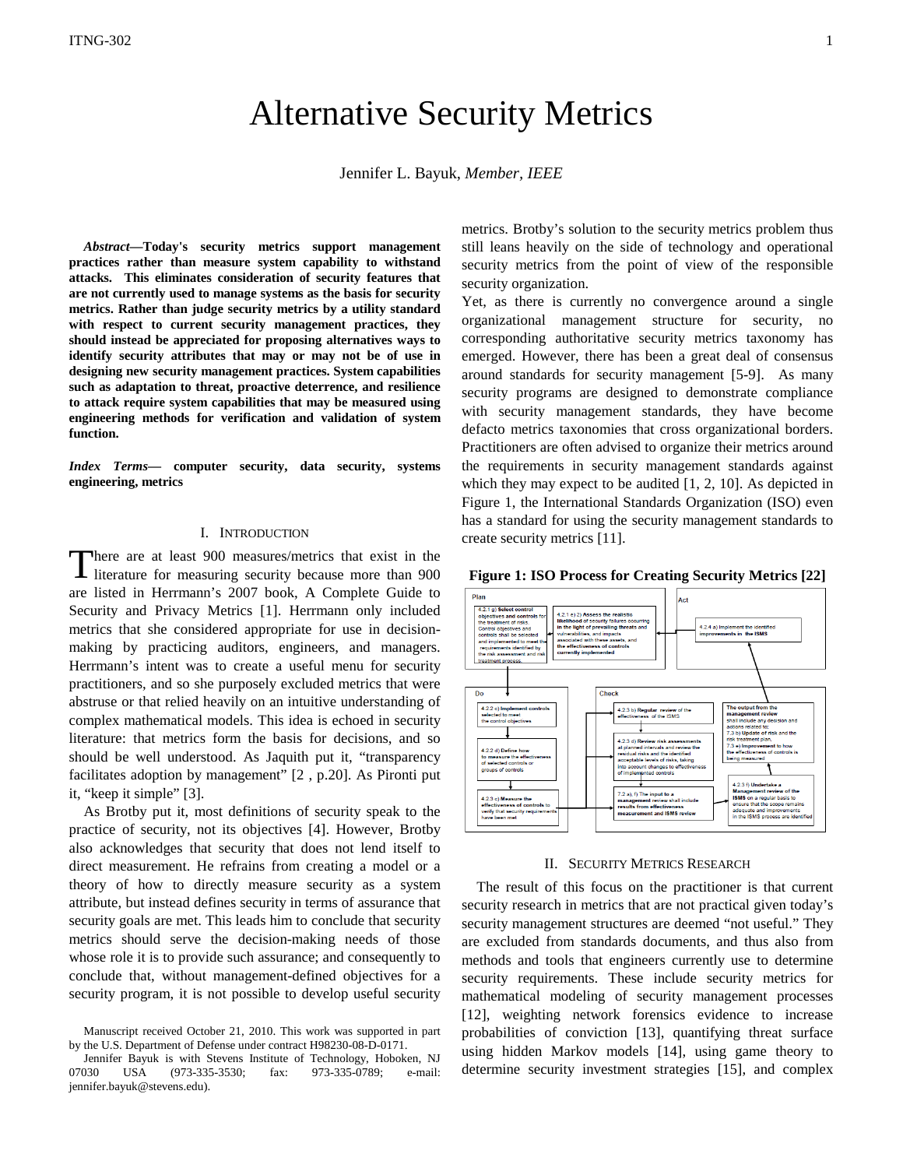# Alternative Security Metrics

Jennifer L. Bayuk, *Member, IEEE* 

*Abstract***—Today's security metrics support management practices rather than measure system capability to withstand attacks. This eliminates consideration of security features that are not currently used to manage systems as the basis for security metrics. Rather than judge security metrics by a utility standard with respect to current security management practices, they should instead be appreciated for proposing alternatives ways to identify security attributes that may or may not be of use in designing new security management practices. System capabilities such as adaptation to threat, proactive deterrence, and resilience to attack require system capabilities that may be measured using engineering methods for verification and validation of system function.**

*Index Terms***— computer security, data security, systems engineering, metrics**

## I. INTRODUCTION

here are at least 900 measures/metrics that exist in the literature for measuring security because more than 900 are listed in Herrmann's 2007 book, A Complete Guide to Security and Privacy Metrics [1]. Herrmann only included metrics that she considered appropriate for use in decisionmaking by practicing auditors, engineers, and managers. Herrmann's intent was to create a useful menu for security practitioners, and so she purposely excluded metrics that were abstruse or that relied heavily on an intuitive understanding of complex mathematical models. This idea is echoed in security literature: that metrics form the basis for decisions, and so should be well understood. As Jaquith put it, "transparency facilitates adoption by management" [2 , p.20]. As Pironti put it, "keep it simple" [3]. T

As Brotby put it, most definitions of security speak to the practice of security, not its objectives [4]. However, Brotby also acknowledges that security that does not lend itself to direct measurement. He refrains from creating a model or a theory of how to directly measure security as a system attribute, but instead defines security in terms of assurance that security goals are met. This leads him to conclude that security metrics should serve the decision-making needs of those whose role it is to provide such assurance; and consequently to conclude that, without management-defined objectives for a security program, it is not possible to develop useful security

metrics. Brotby's solution to the security metrics problem thus still leans heavily on the side of technology and operational security metrics from the point of view of the responsible security organization.

Yet, as there is currently no convergence around a single organizational management structure for security, no corresponding authoritative security metrics taxonomy has emerged. However, there has been a great deal of consensus around standards for security management [5-9]. As many security programs are designed to demonstrate compliance with security management standards, they have become defacto metrics taxonomies that cross organizational borders. Practitioners are often advised to organize their metrics around the requirements in security management standards against which they may expect to be audited [1, 2, 10]. As depicted in Figure 1, the International Standards Organization (ISO) even has a standard for using the security management standards to create security metrics [11].

**Figure 1: ISO Process for Creating Security Metrics [22]**



#### II. SECURITY METRICS RESEARCH

The result of this focus on the practitioner is that current security research in metrics that are not practical given today's security management structures are deemed "not useful." They are excluded from standards documents, and thus also from methods and tools that engineers currently use to determine security requirements. These include security metrics for mathematical modeling of security management processes [12], weighting network forensics evidence to increase probabilities of conviction [13], quantifying threat surface using hidden Markov models [14], using game theory to determine security investment strategies [15], and complex

Manuscript received October 21, 2010. This work was supported in part by the U.S. Department of Defense under contract H98230-08-D-0171.

Jennifer Bayuk is with Stevens Institute of Technology, Hoboken, NJ 07030 USA (973-335-3530; fax: 973-335-0789; e-mail: jennifer.bayuk@stevens.edu).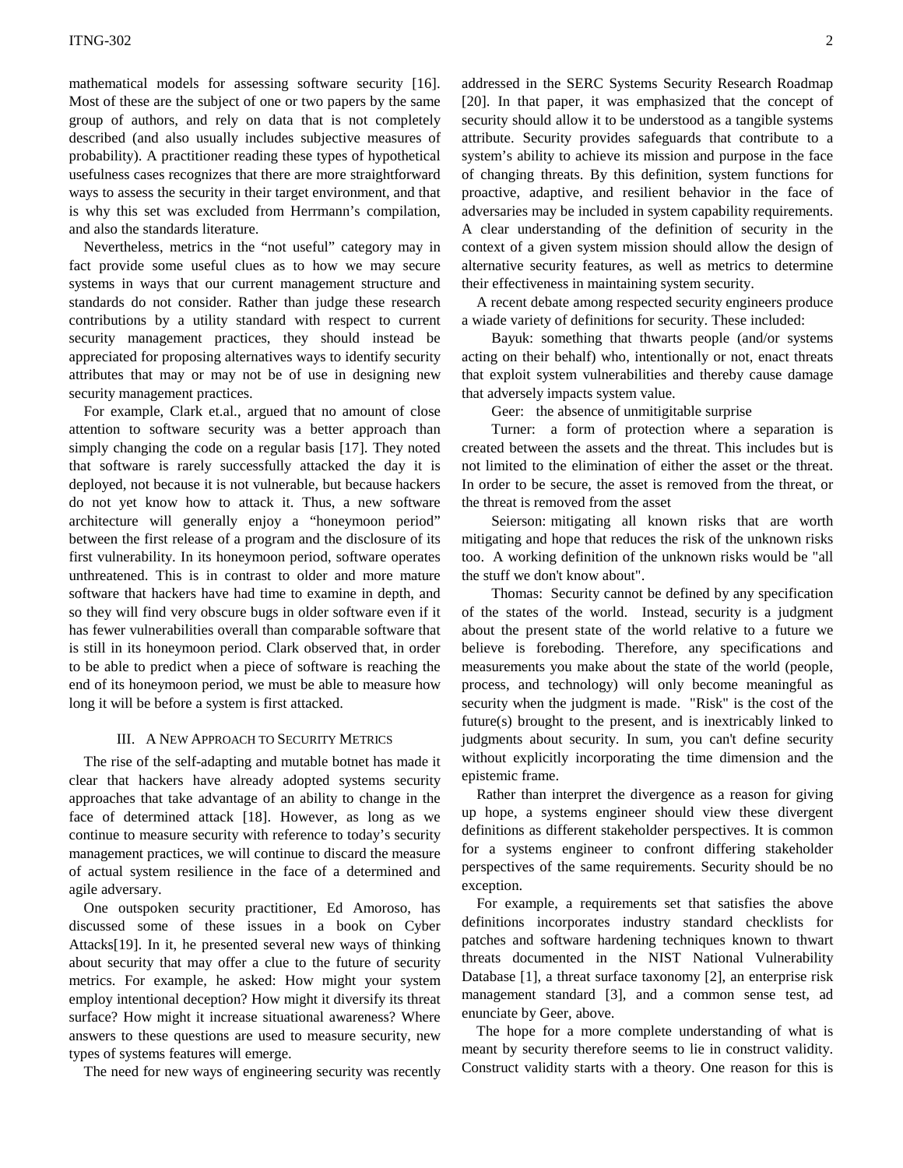mathematical models for assessing software security [16]. Most of these are the subject of one or two papers by the same group of authors, and rely on data that is not completely described (and also usually includes subjective measures of probability). A practitioner reading these types of hypothetical usefulness cases recognizes that there are more straightforward ways to assess the security in their target environment, and that is why this set was excluded from Herrmann's compilation, and also the standards literature.

Nevertheless, metrics in the "not useful" category may in fact provide some useful clues as to how we may secure systems in ways that our current management structure and standards do not consider. Rather than judge these research contributions by a utility standard with respect to current security management practices, they should instead be appreciated for proposing alternatives ways to identify security attributes that may or may not be of use in designing new security management practices.

For example, Clark et.al., argued that no amount of close attention to software security was a better approach than simply changing the code on a regular basis [17]. They noted that software is rarely successfully attacked the day it is deployed, not because it is not vulnerable, but because hackers do not yet know how to attack it. Thus, a new software architecture will generally enjoy a "honeymoon period" between the first release of a program and the disclosure of its first vulnerability. In its honeymoon period, software operates unthreatened. This is in contrast to older and more mature software that hackers have had time to examine in depth, and so they will find very obscure bugs in older software even if it has fewer vulnerabilities overall than comparable software that is still in its honeymoon period. Clark observed that, in order to be able to predict when a piece of software is reaching the end of its honeymoon period, we must be able to measure how long it will be before a system is first attacked.

#### III. A NEW APPROACH TO SECURITY METRICS

The rise of the self-adapting and mutable botnet has made it clear that hackers have already adopted systems security approaches that take advantage of an ability to change in the face of determined attack [18]. However, as long as we continue to measure security with reference to today's security management practices, we will continue to discard the measure of actual system resilience in the face of a determined and agile adversary.

One outspoken security practitioner, Ed Amoroso, has discussed some of these issues in a book on Cyber Attacks[19]. In it, he presented several new ways of thinking about security that may offer a clue to the future of security metrics. For example, he asked: How might your system employ intentional deception? How might it diversify its threat surface? How might it increase situational awareness? Where answers to these questions are used to measure security, new types of systems features will emerge.

The need for new ways of engineering security was recently

addressed in the SERC Systems Security Research Roadmap [20]. In that paper, it was emphasized that the concept of security should allow it to be understood as a tangible systems attribute. Security provides safeguards that contribute to a system's ability to achieve its mission and purpose in the face of changing threats. By this definition, system functions for proactive, adaptive, and resilient behavior in the face of adversaries may be included in system capability requirements. A clear understanding of the definition of security in the context of a given system mission should allow the design of alternative security features, as well as metrics to determine their effectiveness in maintaining system security.

A recent debate among respected security engineers produce a wiade variety of definitions for security. These included:

Bayuk: something that thwarts people (and/or systems acting on their behalf) who, intentionally or not, enact threats that exploit system vulnerabilities and thereby cause damage that adversely impacts system value.

Geer: the absence of unmitigitable surprise

Turner: a form of protection where a separation is created between the assets and the threat. This includes but is not limited to the elimination of either the asset or the threat. In order to be secure, the asset is removed from the threat, or the threat is removed from the asset

Seierson: mitigating all known risks that are worth mitigating and hope that reduces the risk of the unknown risks too. A working definition of the unknown risks would be "all the stuff we don't know about".

Thomas: Security cannot be defined by any specification of the states of the world. Instead, security is a judgment about the present state of the world relative to a future we believe is foreboding. Therefore, any specifications and measurements you make about the state of the world (people, process, and technology) will only become meaningful as security when the judgment is made. "Risk" is the cost of the future(s) brought to the present, and is inextricably linked to judgments about security. In sum, you can't define security without explicitly incorporating the time dimension and the epistemic frame.

Rather than interpret the divergence as a reason for giving up hope, a systems engineer should view these divergent definitions as different stakeholder perspectives. It is common for a systems engineer to confront differing stakeholder perspectives of the same requirements. Security should be no exception.

For example, a requirements set that satisfies the above definitions incorporates industry standard checklists for patches and software hardening techniques known to thwart threats documented in the NIST National Vulnerability Database [\[1\]](#page-2-0), a threat surface taxonomy [\[2\]](#page-2-1), an enterprise risk management standard [\[3\]](#page-2-2), and a common sense test, ad enunciate by Geer, above.

The hope for a more complete understanding of what is meant by security therefore seems to lie in construct validity. Construct validity starts with a theory. One reason for this is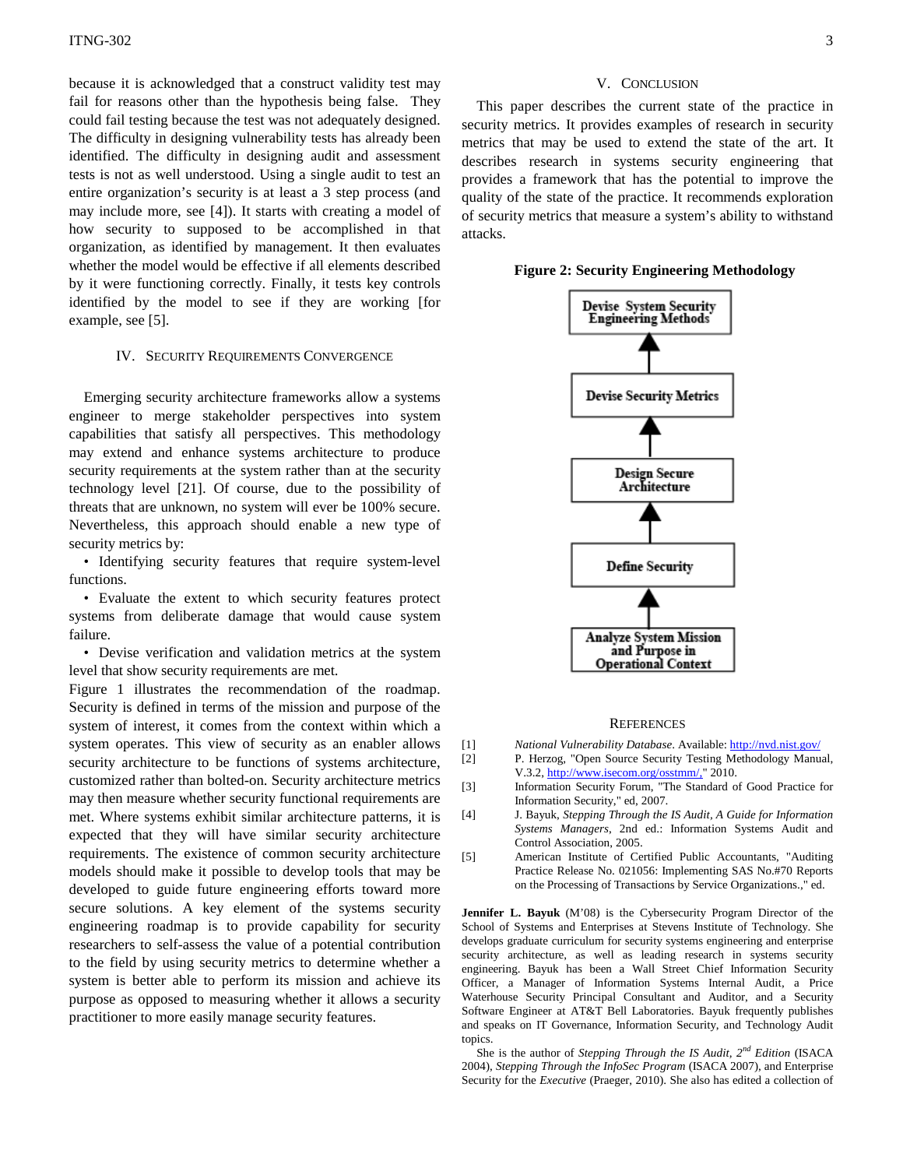because it is acknowledged that a construct validity test may fail for reasons other than the hypothesis being false. They could fail testing because the test was not adequately designed. The difficulty in designing vulnerability tests has already been identified. The difficulty in designing audit and assessment tests is not as well understood. Using a single audit to test an entire organization's security is at least a 3 step process (and may include more, see [\[4\]](#page-2-3)). It starts with creating a model of how security to supposed to be accomplished in that organization, as identified by management. It then evaluates whether the model would be effective if all elements described by it were functioning correctly. Finally, it tests key controls identified by the model to see if they are working [for example, see [\[5\]](#page-2-4).

#### IV. SECURITY REQUIREMENTS CONVERGENCE

Emerging security architecture frameworks allow a systems engineer to merge stakeholder perspectives into system capabilities that satisfy all perspectives. This methodology may extend and enhance systems architecture to produce security requirements at the system rather than at the security technology level [21]. Of course, due to the possibility of threats that are unknown, no system will ever be 100% secure. Nevertheless, this approach should enable a new type of security metrics by:

• Identifying security features that require system-level functions.

• Evaluate the extent to which security features protect systems from deliberate damage that would cause system failure.

• Devise verification and validation metrics at the system level that show security requirements are met.

Figure 1 illustrates the recommendation of the roadmap. Security is defined in terms of the mission and purpose of the system of interest, it comes from the context within which a system operates. This view of security as an enabler allows security architecture to be functions of systems architecture, customized rather than bolted-on. Security architecture metrics may then measure whether security functional requirements are met. Where systems exhibit similar architecture patterns, it is expected that they will have similar security architecture requirements. The existence of common security architecture models should make it possible to develop tools that may be developed to guide future engineering efforts toward more secure solutions. A key element of the systems security engineering roadmap is to provide capability for security researchers to self-assess the value of a potential contribution to the field by using security metrics to determine whether a system is better able to perform its mission and achieve its purpose as opposed to measuring whether it allows a security practitioner to more easily manage security features.

## V. CONCLUSION

This paper describes the current state of the practice in security metrics. It provides examples of research in security metrics that may be used to extend the state of the art. It describes research in systems security engineering that provides a framework that has the potential to improve the quality of the state of the practice. It recommends exploration of security metrics that measure a system's ability to withstand attacks.

**Figure 2: Security Engineering Methodology**



#### **REFERENCES**

- <span id="page-2-0"></span>[1] *National Vulnerability Database*. Available[: http://nvd.nist.gov/](http://nvd.nist.gov/)
- <span id="page-2-1"></span>[2] P. Herzog, "Open Source Security Testing Methodology Manual, V.3.2[, http://www.isecom.org/osstmm/,"](http://www.isecom.org/osstmm/,) 2010.
- <span id="page-2-2"></span>[3] Information Security Forum, "The Standard of Good Practice for Information Security," ed, 2007.
- <span id="page-2-3"></span>[4] J. Bayuk, *Stepping Through the IS Audit, A Guide for Information Systems Managers*, 2nd ed.: Information Systems Audit and Control Association, 2005.
- <span id="page-2-4"></span>[5] American Institute of Certified Public Accountants, "Auditing Practice Release No. 021056: Implementing SAS No.#70 Reports on the Processing of Transactions by Service Organizations.," ed.

**Jennifer L. Bayuk** (M'08) is the Cybersecurity Program Director of the School of Systems and Enterprises at Stevens Institute of Technology. She develops graduate curriculum for security systems engineering and enterprise security architecture, as well as leading research in systems security engineering. Bayuk has been a Wall Street Chief Information Security Officer, a Manager of Information Systems Internal Audit, a Price Waterhouse Security Principal Consultant and Auditor, and a Security Software Engineer at AT&T Bell Laboratories. Bayuk frequently publishes and speaks on IT Governance, Information Security, and Technology Audit topics.

She is the author of *Stepping Through the IS Audit, 2nd Edition* (ISACA 2004), *Stepping Through the InfoSec Program* (ISACA 2007), and Enterprise Security for the *Executive* (Praeger, 2010). She also has edited a collection of